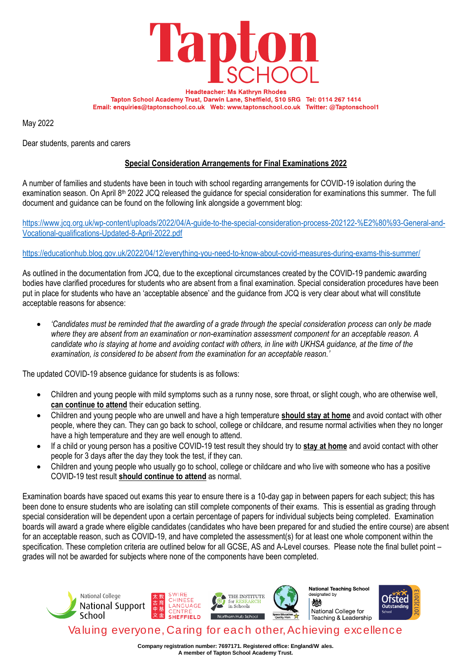

**Headteacher: Ms Kathryn Rhodes** Tapton School Academy Trust, Darwin Lane, Sheffield, S10 5RG Tel: 0114 267 1414 Email: enquiries@taptonschool.co.uk Web: www.taptonschool.co.uk Twitter: @Taptonschool1

May 2022

Dear students, parents and carers

## **Special Consideration Arrangements for Final Examinations 2022**

A number of families and students have been in touch with school regarding arrangements for COVID-19 isolation during the examination season. On April 8<sup>th</sup> 2022 JCQ released the quidance for special consideration for examinations this summer. The full document and guidance can be found on the following link alongside a government blog:

[https://www.jcq.org.uk/wp-content/uploads/2022/04/A-guide-to-the-special-consideration-process-202122-%E2%80%93-General-and-](https://www.jcq.org.uk/wp-content/uploads/2022/04/A-guide-to-the-special-consideration-process-202122-%E2%80%93-General-and-Vocational-qualifications-Updated-8-April-2022.pdf)[Vocational-qualifications-Updated-8-April-2022.pdf](https://www.jcq.org.uk/wp-content/uploads/2022/04/A-guide-to-the-special-consideration-process-202122-%E2%80%93-General-and-Vocational-qualifications-Updated-8-April-2022.pdf)

## <https://educationhub.blog.gov.uk/2022/04/12/everything-you-need-to-know-about-covid-measures-during-exams-this-summer/>

As outlined in the documentation from JCQ, due to the exceptional circumstances created by the COVID-19 pandemic awarding bodies have clarified procedures for students who are absent from a final examination. Special consideration procedures have been put in place for students who have an 'acceptable absence' and the guidance from JCQ is very clear about what will constitute acceptable reasons for absence:

• *'Candidates must be reminded that the awarding of a grade through the special consideration process can only be made where they are absent from an examination or non-examination assessment component for an acceptable reason. A candidate who is staying at home and avoiding contact with others, in line with UKHSA guidance, at the time of the examination, is considered to be absent from the examination for an acceptable reason.'*

The updated COVID-19 absence guidance for students is as follows:

- Children and young people with mild symptoms such as a runny nose, sore throat, or slight cough, who are otherwise well, **can continue to attend** their education setting.
- Children and young people who are unwell and have a high temperature **should stay at home** and avoid contact with other people, where they can. They can go back to school, college or childcare, and resume normal activities when they no longer have a high temperature and they are well enough to attend.
- If a child or young person has a positive COVID-19 test result they should try to **stay at home** and avoid contact with other people for 3 days after the day they took the test, if they can.
- Children and young people who usually go to school, college or childcare and who live with someone who has a positive COVID-19 test result **should continue to attend** as normal.

Examination boards have spaced out exams this year to ensure there is a 10-day gap in between papers for each subject; this has been done to ensure students who are isolating can still complete components of their exams. This is essential as grading through special consideration will be dependent upon a certain percentage of papers for individual subjects being completed. Examination boards will award a grade where eligible candidates (candidates who have been prepared for and studied the entire course) are absent for an acceptable reason, such as COVID-19, and have completed the assessment(s) for at least one whole component within the specification. These completion criteria are outlined below for all GCSE, AS and A-Level courses. Please note the final bullet point – grades will not be awarded for subjects where none of the components have been completed.